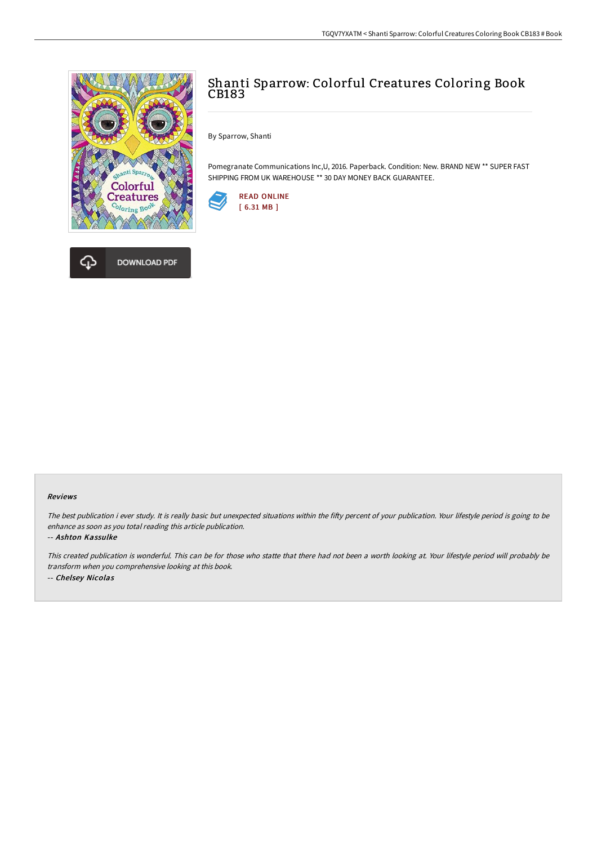



# Shanti Sparrow: Colorful Creatures Coloring Book CB183

By Sparrow, Shanti

Pomegranate Communications Inc,U, 2016. Paperback. Condition: New. BRAND NEW \*\* SUPER FAST SHIPPING FROM UK WAREHOUSE \*\* 30 DAY MONEY BACK GUARANTEE.



#### Reviews

The best publication i ever study. It is really basic but unexpected situations within the fifty percent of your publication. Your lifestyle period is going to be enhance as soon as you total reading this article publication.

#### -- Ashton Kassulke

This created publication is wonderful. This can be for those who statte that there had not been <sup>a</sup> worth looking at. Your lifestyle period will probably be transform when you comprehensive looking at this book. -- Chelsey Nicolas